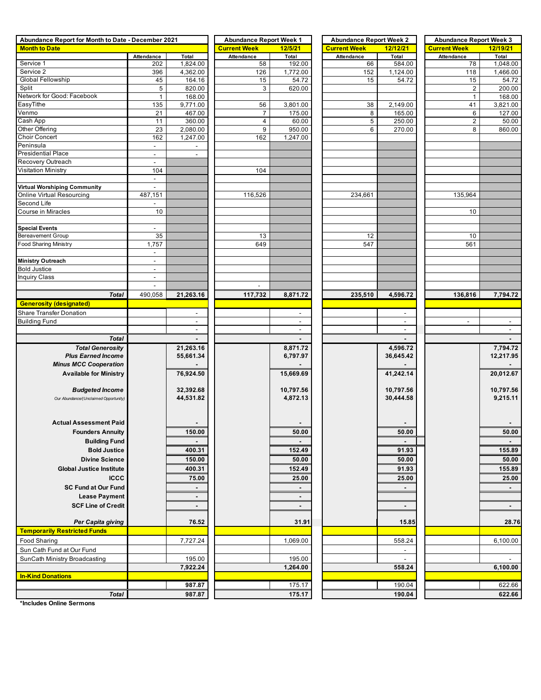| Abundance Report for Month to Date - December 2021 | <b>Abundance Report Week 1</b> |                    | <b>Abundance Report Week 2</b> |                          | <b>Abundance Report Week 3</b> |                          |                     |                    |  |
|----------------------------------------------------|--------------------------------|--------------------|--------------------------------|--------------------------|--------------------------------|--------------------------|---------------------|--------------------|--|
| <b>Month to Date</b>                               |                                |                    | <b>Current Week</b>            | 12/5/21                  | <b>Current Week</b>            | 12/12/21                 | <b>Current Week</b> | 12/19/21           |  |
|                                                    | Attendance                     | Total              | Attendance                     | Total                    | Attendance                     | Total                    | Attendance          | Total              |  |
| Service 1                                          | 202                            | 1,824.00           | 58                             | 192.00                   | 66                             | 584.00                   | 78                  | 1,048.00           |  |
| Service 2                                          | 396                            | 4,362.00           | 126                            | 1,772.00                 | 152                            | 1,124.00                 | 118                 | 1,466.00           |  |
| Global Fellowship                                  | 45                             | 164.16             | 15                             | 54.72                    | 15                             | 54.72                    | 15                  | 54.72              |  |
| Split                                              | 5                              | 820.00             | 3                              | 620.00                   |                                |                          | $\overline{2}$      | 200.00             |  |
| Network for Good: Facebook<br>EasyTithe            | $\mathbf{1}$                   | 168.00             |                                |                          |                                |                          | $\mathbf{1}$<br>41  | 168.00             |  |
| Venmo                                              | 135<br>21                      | 9,771.00<br>467.00 | 56<br>$\overline{7}$           | 3,801.00<br>175.00       | 38<br>8                        | 2,149.00<br>165.00       | 6                   | 3,821.00<br>127.00 |  |
| Cash App                                           | 11                             | 360.00             | 4                              | 60.00                    | 5                              | 250.00                   | $\overline{a}$      | 50.00              |  |
| Other Offering                                     | 23                             | 2,080.00           | 9                              | 950.00                   | 6                              | 270.00                   | 8                   | 860.00             |  |
| Choir Concert                                      | 162                            | 1,247.00           | 162                            | 1,247.00                 |                                |                          |                     |                    |  |
| Peninsula                                          | $\overline{\phantom{a}}$       |                    |                                |                          |                                |                          |                     |                    |  |
| <b>Presidential Place</b>                          | $\overline{\phantom{a}}$       | $\blacksquare$     |                                |                          |                                |                          |                     |                    |  |
| Recovery Outreach                                  | $\blacksquare$                 |                    |                                |                          |                                |                          |                     |                    |  |
| <b>Visitation Ministry</b>                         | 104                            |                    | 104                            |                          |                                |                          |                     |                    |  |
|                                                    | $\blacksquare$                 |                    |                                |                          |                                |                          |                     |                    |  |
| Virtual Worshiping Community                       | $\overline{a}$                 |                    |                                |                          |                                |                          |                     |                    |  |
| Online Virtual Resourcing                          | 487,151                        |                    | 116,526                        |                          | 234,661                        |                          | 135,964             |                    |  |
| Second Life                                        |                                |                    |                                |                          |                                |                          |                     |                    |  |
| <b>Course in Miracles</b>                          | 10                             |                    |                                |                          |                                |                          | 10                  |                    |  |
|                                                    |                                |                    |                                |                          |                                |                          |                     |                    |  |
| <b>Special Events</b>                              | $\overline{\phantom{a}}$       |                    |                                |                          |                                |                          |                     |                    |  |
| Bereavement Group                                  | 35                             |                    | 13                             |                          | 12                             |                          | 10                  |                    |  |
| <b>Food Sharing Ministry</b>                       | 1,757                          |                    | 649                            |                          | 547                            |                          | 561                 |                    |  |
|                                                    | $\overline{\phantom{a}}$       |                    |                                |                          |                                |                          |                     |                    |  |
| <b>Ministry Outreach</b>                           | $\blacksquare$                 |                    |                                |                          |                                |                          |                     |                    |  |
| <b>Bold Justice</b>                                | $\overline{\phantom{a}}$       |                    |                                |                          |                                |                          |                     |                    |  |
| <b>Inquiry Class</b>                               | $\sim$                         |                    |                                |                          |                                |                          |                     |                    |  |
|                                                    | $\overline{a}$                 |                    |                                |                          |                                |                          |                     |                    |  |
| <b>Total</b>                                       | 490,058                        | 21,263.16          | 117,732                        | 8,871.72                 | 235,510                        | 4,596.72                 | 136,816             | 7,794.72           |  |
| <b>Generosity (designated)</b>                     |                                |                    |                                |                          |                                |                          |                     |                    |  |
| Share Transfer Donation                            |                                | $\sim$             |                                | $\sim$                   |                                | $\sim$                   |                     |                    |  |
| <b>Building Fund</b>                               |                                | $\sim$             |                                | $\sim$                   |                                | $\sim$                   | $\sim$              | $\sim$             |  |
|                                                    |                                | $\sim$             |                                | $\sim$                   |                                | $\overline{\phantom{a}}$ |                     | $\sim$             |  |
| <b>Total</b>                                       |                                | $\blacksquare$     |                                |                          |                                |                          |                     |                    |  |
| <b>Total Generosity</b>                            |                                | 21,263.16          |                                | 8,871.72                 |                                | 4,596.72                 |                     | 7,794.72           |  |
| <b>Plus Earned Income</b>                          |                                | 55,661.34          |                                | 6,797.97                 |                                | 36,645.42                |                     | 12,217.95          |  |
| <b>Minus MCC Cooperation</b>                       |                                |                    |                                |                          |                                |                          |                     |                    |  |
| <b>Available for Ministry</b>                      |                                | 76,924.50          |                                | 15,669.69                |                                | 41,242.14                |                     | 20,012.67          |  |
|                                                    |                                |                    |                                |                          |                                |                          |                     |                    |  |
| <b>Budgeted Income</b>                             |                                | 32,392.68          |                                | 10,797.56                |                                | 10,797.56                |                     | 10,797.56          |  |
| Our Abundance/(Unclaimed Opportunity)              |                                | 44,531.82          |                                | 4,872.13                 |                                | 30,444.58                |                     | 9,215.11           |  |
|                                                    |                                |                    |                                |                          |                                |                          |                     |                    |  |
|                                                    |                                |                    |                                |                          |                                |                          |                     |                    |  |
| <b>Actual Assessment Paid</b>                      |                                |                    |                                |                          |                                |                          |                     |                    |  |
| <b>Founders Annuity</b>                            |                                | 150.00             |                                | 50.00                    |                                | 50.00                    |                     | 50.00              |  |
| <b>Building Fund</b>                               |                                |                    |                                |                          |                                |                          |                     |                    |  |
| <b>Bold Justice</b>                                |                                | 400.31             |                                | 152.49                   |                                | 91.93                    |                     | 155.89             |  |
| <b>Divine Science</b>                              |                                | 150.00             |                                | 50.00                    |                                | 50.00                    |                     | 50.00              |  |
| <b>Global Justice Institute</b>                    |                                | 400.31             |                                | 152.49                   |                                | 91.93                    |                     | 155.89             |  |
| <b>ICCC</b>                                        |                                | 75.00              |                                | 25.00                    |                                | 25.00                    |                     | 25.00              |  |
| <b>SC Fund at Our Fund</b>                         |                                | $\blacksquare$     |                                | $\blacksquare$           |                                | $\blacksquare$           |                     | $\blacksquare$     |  |
| <b>Lease Payment</b>                               |                                | $\blacksquare$     |                                | $\overline{\phantom{a}}$ |                                |                          |                     |                    |  |
| <b>SCF Line of Credit</b>                          |                                | $\blacksquare$     |                                |                          |                                | $\blacksquare$           |                     |                    |  |
|                                                    |                                |                    |                                |                          |                                |                          |                     |                    |  |
| Per Capita giving                                  |                                | 76.52              |                                | 31.91                    |                                | 15.85                    |                     | 28.76              |  |
| <b>Temporarily Restricted Funds</b>                |                                |                    |                                |                          |                                |                          |                     |                    |  |
| Food Sharing                                       |                                | 7,727.24           |                                | 1,069.00                 |                                | 558.24                   |                     | 6,100.00           |  |
| Sun Cath Fund at Our Fund                          |                                |                    |                                |                          |                                |                          |                     |                    |  |
| SunCath Ministry Broadcasting                      |                                | 195.00             |                                | 195.00                   |                                |                          |                     |                    |  |
|                                                    |                                | 7,922.24           |                                | 1,264.00                 |                                | 558.24                   |                     | 6,100.00           |  |
| <b>In-Kind Donations</b>                           |                                |                    |                                |                          |                                |                          |                     |                    |  |
|                                                    |                                | 987.87             |                                | 175.17                   |                                | 190.04                   |                     | 622.66             |  |
| <b>Total</b>                                       |                                | 987.87             |                                | 175.17                   |                                | 190.04                   |                     | 622.66             |  |
|                                                    |                                |                    |                                |                          |                                |                          |                     |                    |  |

**\*Includes Online Sermons**